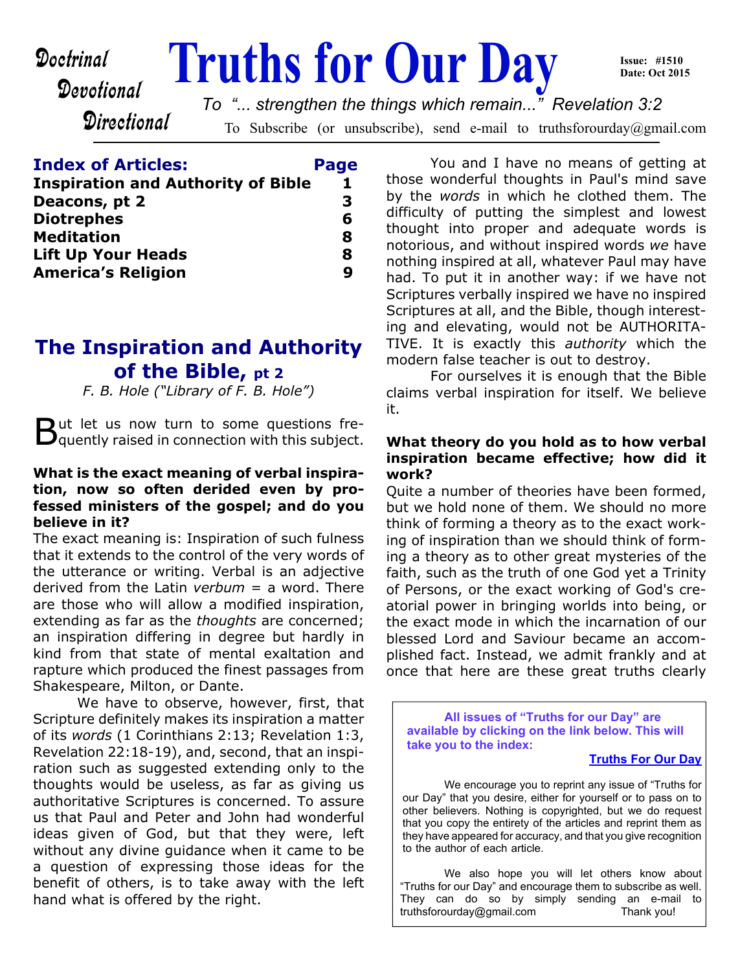# **Doctrinal** Truths for Our Day

**Issue: #1510 Date: Oct 2015**

**Directional** 

Devotional

To Subscribe (or unsubscribe), send e-mail to truthsforourday@gmail.com *To "... strengthen the things which remain..." Revelation 3:2*

| <b>Index of Articles:</b>                 | Page |
|-------------------------------------------|------|
| <b>Inspiration and Authority of Bible</b> | 1    |
| Deacons, pt 2                             | 3    |
| <b>Diotrephes</b>                         | 6    |
| <b>Meditation</b>                         | 8    |
| <b>Lift Up Your Heads</b>                 | 8    |
| <b>America's Religion</b>                 | 9    |

# **The Inspiration and Authority of the Bible, pt 2**

*F. B. Hole ("Library of F. B. Hole")*

But let us now turn to some questions fre-<br>B quently raised in connection with this subject.  $\mathbf{D}_0$ quently raised in connection with this subject.

#### **What is the exact meaning of verbal inspiration, now so often derided even by professed ministers of the gospel; and do you believe in it?**

The exact meaning is: Inspiration of such fulness that it extends to the control of the very words of the utterance or writing. Verbal is an adjective derived from the Latin *verbum* = a word. There are those who will allow a modified inspiration, extending as far as the *thoughts* are concerned; an inspiration differing in degree but hardly in kind from that state of mental exaltation and rapture which produced the finest passages from Shakespeare, Milton, or Dante.

 We have to observe, however, first, that Scripture definitely makes its inspiration a matter of its *words* (1 Corinthians 2:13; Revelation 1:3, Revelation 22:18-19), and, second, that an inspiration such as suggested extending only to the thoughts would be useless, as far as giving us authoritative Scriptures is concerned. To assure us that Paul and Peter and John had wonderful ideas given of God, but that they were, left without any divine guidance when it came to be a question of expressing those ideas for the benefit of others, is to take away with the left hand what is offered by the right.

 You and I have no means of getting at those wonderful thoughts in Paul's mind save by the *words* in which he clothed them. The difficulty of putting the simplest and lowest thought into proper and adequate words is notorious, and without inspired words *we* have nothing inspired at all, whatever Paul may have had. To put it in another way: if we have not Scriptures verbally inspired we have no inspired Scriptures at all, and the Bible, though interesting and elevating, would not be AUTHORITA-TIVE. It is exactly this *authority* which the modern false teacher is out to destroy.

 For ourselves it is enough that the Bible claims verbal inspiration for itself. We believe it.

#### **What theory do you hold as to how verbal inspiration became effective; how did it work?**

Quite a number of theories have been formed, but we hold none of them. We should no more think of forming a theory as to the exact working of inspiration than we should think of forming a theory as to other great mysteries of the faith, such as the truth of one God yet a Trinity of Persons, or the exact working of God's creatorial power in bringing worlds into being, or the exact mode in which the incarnation of our blessed Lord and Saviour became an accomplished fact. Instead, we admit frankly and at once that here are these great truths clearly

**All issues of "Truths for our Day" are available by clicking on the link below. This will take you to the index:**

#### **[Truths For Our Day](http://truthsforourday.com)**

 We encourage you to reprint any issue of "Truths for our Day" that you desire, either for yourself or to pass on to other believers. Nothing is copyrighted, but we do request that you copy the entirety of the articles and reprint them as they have appeared for accuracy, and that you give recognition to the author of each article.

 We also hope you will let others know about "Truths for our Day" and encourage them to subscribe as well. They can do so by simply sending an e-mail to truthsforourday@gmail.com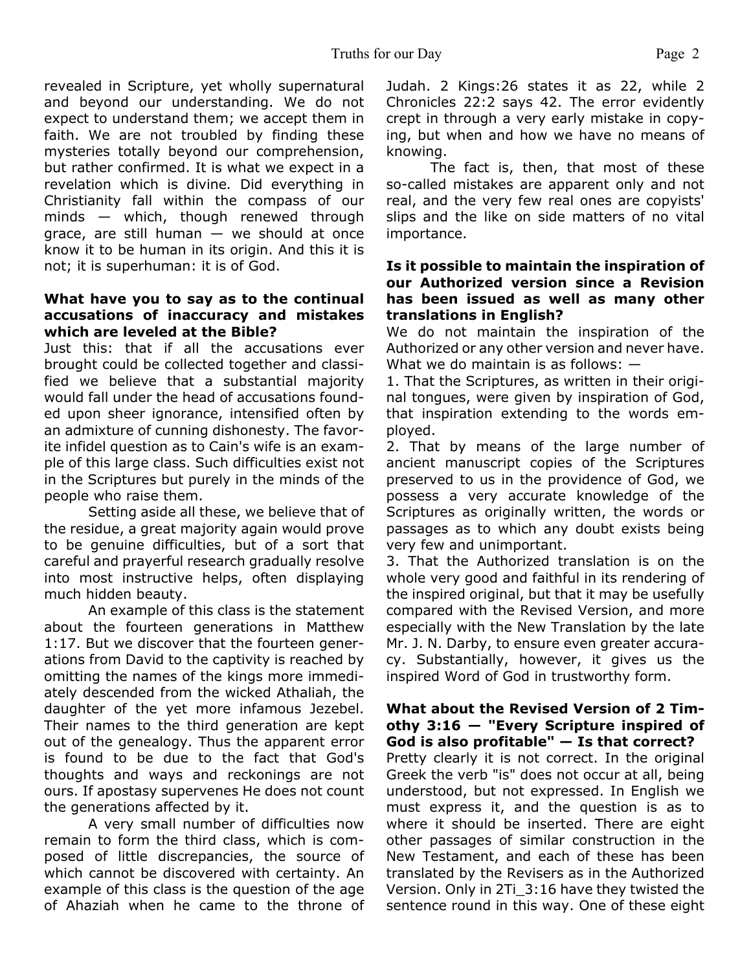revealed in Scripture, yet wholly supernatural and beyond our understanding. We do not expect to understand them; we accept them in faith. We are not troubled by finding these mysteries totally beyond our comprehension, but rather confirmed. It is what we expect in a revelation which is divine*.* Did everything in Christianity fall within the compass of our minds — which, though renewed through grace, are still human  $-$  we should at once know it to be human in its origin. And this it is not; it is superhuman: it is of God.

#### **What have you to say as to the continual accusations of inaccuracy and mistakes which are leveled at the Bible?**

Just this: that if all the accusations ever brought could be collected together and classified we believe that a substantial majority would fall under the head of accusations founded upon sheer ignorance, intensified often by an admixture of cunning dishonesty. The favorite infidel question as to Cain's wife is an example of this large class. Such difficulties exist not in the Scriptures but purely in the minds of the people who raise them.

 Setting aside all these, we believe that of the residue, a great majority again would prove to be genuine difficulties, but of a sort that careful and prayerful research gradually resolve into most instructive helps, often displaying much hidden beauty.

 An example of this class is the statement about the fourteen generations in Matthew 1:17. But we discover that the fourteen generations from David to the captivity is reached by omitting the names of the kings more immediately descended from the wicked Athaliah, the daughter of the yet more infamous Jezebel. Their names to the third generation are kept out of the genealogy. Thus the apparent error is found to be due to the fact that God's thoughts and ways and reckonings are not ours. If apostasy supervenes He does not count the generations affected by it.

 A very small number of difficulties now remain to form the third class, which is composed of little discrepancies, the source of which cannot be discovered with certainty. An example of this class is the question of the age of Ahaziah when he came to the throne of Judah. 2 Kings:26 states it as 22, while 2 Chronicles 22:2 says 42. The error evidently crept in through a very early mistake in copying, but when and how we have no means of knowing.

 The fact is, then, that most of these so-called mistakes are apparent only and not real, and the very few real ones are copyists' slips and the like on side matters of no vital importance.

#### **Is it possible to maintain the inspiration of our Authorized version since a Revision has been issued as well as many other translations in English?**

We do not maintain the inspiration of the Authorized or any other version and never have. What we do maintain is as follows: —

1. That the Scriptures, as written in their original tongues, were given by inspiration of God, that inspiration extending to the words employed.

2. That by means of the large number of ancient manuscript copies of the Scriptures preserved to us in the providence of God, we possess a very accurate knowledge of the Scriptures as originally written, the words or passages as to which any doubt exists being very few and unimportant.

3. That the Authorized translation is on the whole very good and faithful in its rendering of the inspired original, but that it may be usefully compared with the Revised Version, and more especially with the New Translation by the late Mr. J. N. Darby, to ensure even greater accuracy. Substantially, however, it gives us the inspired Word of God in trustworthy form.

#### **What about the Revised Version of 2 Timothy 3:16 — "Every Scripture inspired of God is also profitable" — Is that correct?**

Pretty clearly it is not correct. In the original Greek the verb "is" does not occur at all, being understood, but not expressed. In English we must express it, and the question is as to where it should be inserted. There are eight other passages of similar construction in the New Testament, and each of these has been translated by the Revisers as in the Authorized Version. Only in 2Ti\_3:16 have they twisted the sentence round in this way. One of these eight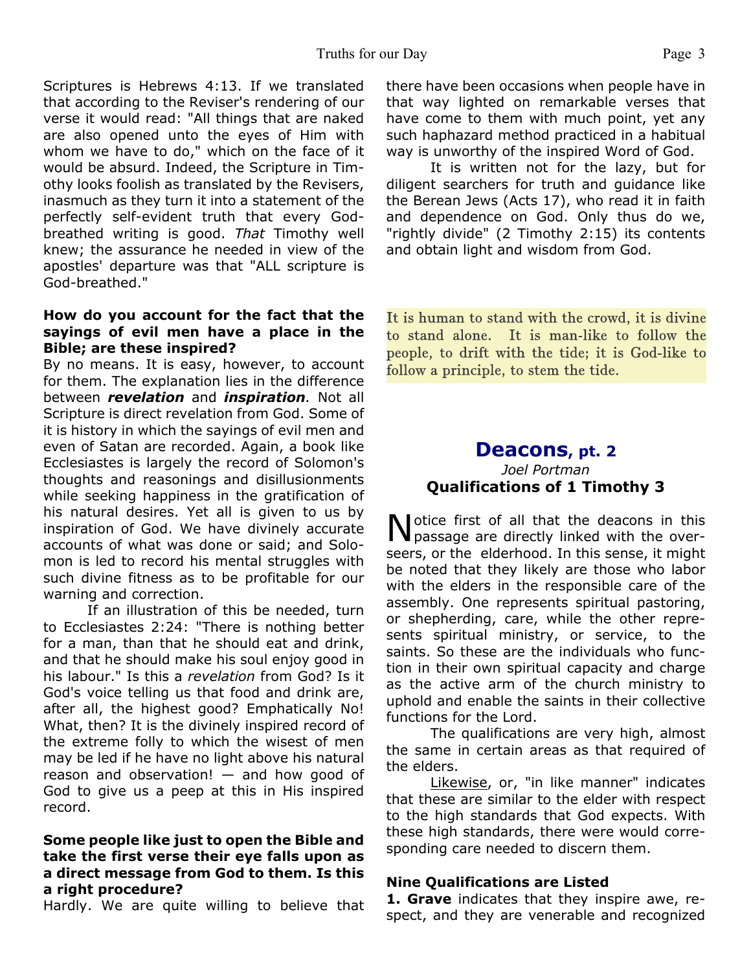Scriptures is Hebrews 4:13. If we translated that according to the Reviser's rendering of our verse it would read: "All things that are naked are also opened unto the eyes of Him with whom we have to do," which on the face of it would be absurd. Indeed, the Scripture in Timothy looks foolish as translated by the Revisers, inasmuch as they turn it into a statement of the perfectly self-evident truth that every Godbreathed writing is good. *That* Timothy well knew; the assurance he needed in view of the apostles' departure was that "ALL scripture is God-breathed."

#### **How do you account for the fact that the sayings of evil men have a place in the Bible; are these inspired?**

By no means. It is easy, however, to account for them. The explanation lies in the difference between *revelation* and *inspiration.* Not all Scripture is direct revelation from God. Some of it is history in which the sayings of evil men and even of Satan are recorded. Again, a book like Ecclesiastes is largely the record of Solomon's thoughts and reasonings and disillusionments while seeking happiness in the gratification of his natural desires. Yet all is given to us by inspiration of God. We have divinely accurate accounts of what was done or said; and Solomon is led to record his mental struggles with such divine fitness as to be profitable for our warning and correction.

 If an illustration of this be needed, turn to Ecclesiastes 2:24: "There is nothing better for a man, than that he should eat and drink, and that he should make his soul enjoy good in his labour." Is this a *revelation* from God? Is it God's voice telling us that food and drink are, after all, the highest good? Emphatically No! What, then? It is the divinely inspired record of the extreme folly to which the wisest of men may be led if he have no light above his natural reason and observation! — and how good of God to give us a peep at this in His inspired record.

#### **Some people like just to open the Bible and take the first verse their eye falls upon as a direct message from God to them. Is this a right procedure?**

Hardly. We are quite willing to believe that

there have been occasions when people have in that way lighted on remarkable verses that have come to them with much point, yet any such haphazard method practiced in a habitual way is unworthy of the inspired Word of God.

 It is written not for the lazy, but for diligent searchers for truth and guidance like the Berean Jews (Acts 17), who read it in faith and dependence on God. Only thus do we, "rightly divide" (2 Timothy 2:15) its contents and obtain light and wisdom from God.

It is human to stand with the crowd, it is divine to stand alone. It is man-like to follow the people, to drift with the tide; it is God-like to follow a principle, to stem the tide.

#### **Deacons, pt. 2** *Joel Portman* **Qualifications of 1 Timothy 3**

Notice first of all that the deacons in this<br>passage are directly linked with the overotice first of all that the deacons in this seers, or the elderhood. In this sense, it might be noted that they likely are those who labor with the elders in the responsible care of the assembly. One represents spiritual pastoring, or shepherding, care, while the other represents spiritual ministry, or service, to the saints. So these are the individuals who function in their own spiritual capacity and charge as the active arm of the church ministry to uphold and enable the saints in their collective functions for the Lord.

 The qualifications are very high, almost the same in certain areas as that required of the elders.

Likewise, or, "in like manner" indicates that these are similar to the elder with respect to the high standards that God expects. With these high standards, there were would corresponding care needed to discern them.

#### **Nine Qualifications are Listed**

**1. Grave** indicates that they inspire awe, respect, and they are venerable and recognized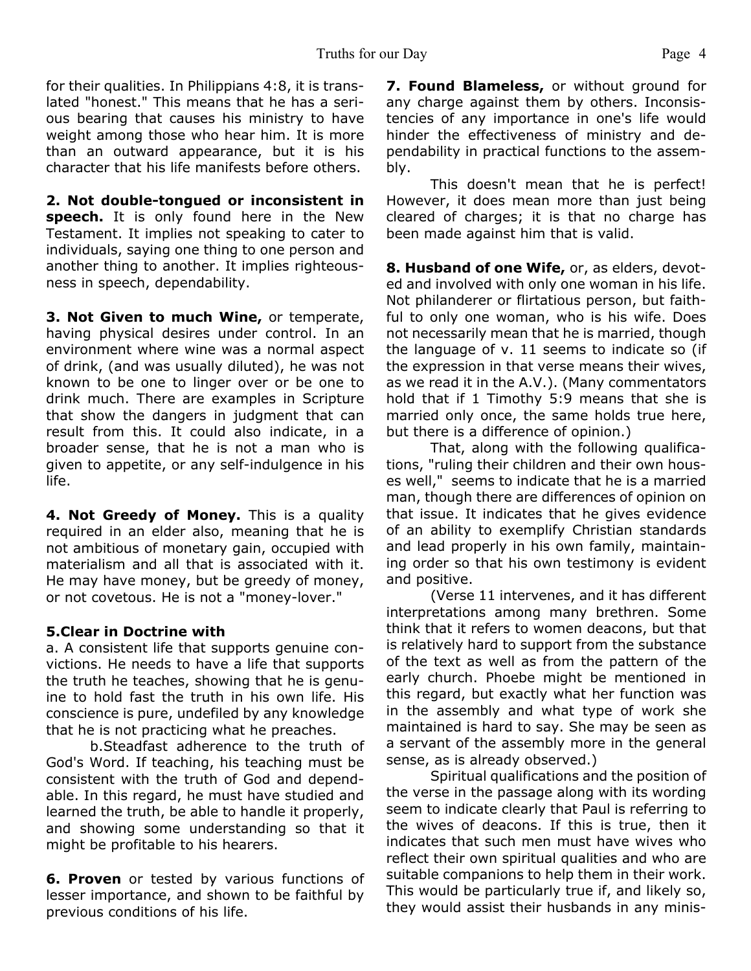for their qualities. In Philippians 4:8, it is translated "honest." This means that he has a serious bearing that causes his ministry to have weight among those who hear him. It is more than an outward appearance, but it is his character that his life manifests before others.

**2. Not double-tongued or inconsistent in speech.** It is only found here in the New Testament. It implies not speaking to cater to individuals, saying one thing to one person and another thing to another. It implies righteousness in speech, dependability.

**3. Not Given to much Wine,** or temperate, having physical desires under control. In an environment where wine was a normal aspect of drink, (and was usually diluted), he was not known to be one to linger over or be one to drink much. There are examples in Scripture that show the dangers in judgment that can result from this. It could also indicate, in a broader sense, that he is not a man who is given to appetite, or any self-indulgence in his life.

**4. Not Greedy of Money.** This is a quality required in an elder also, meaning that he is not ambitious of monetary gain, occupied with materialism and all that is associated with it. He may have money, but be greedy of money, or not covetous. He is not a "money-lover."

#### **5.Clear in Doctrine with**

a. A consistent life that supports genuine convictions. He needs to have a life that supports the truth he teaches, showing that he is genuine to hold fast the truth in his own life. His conscience is pure, undefiled by any knowledge that he is not practicing what he preaches.

 b.Steadfast adherence to the truth of God's Word. If teaching, his teaching must be consistent with the truth of God and dependable. In this regard, he must have studied and learned the truth, be able to handle it properly, and showing some understanding so that it might be profitable to his hearers.

**6. Proven** or tested by various functions of lesser importance, and shown to be faithful by previous conditions of his life.

**7. Found Blameless,** or without ground for any charge against them by others. Inconsistencies of any importance in one's life would hinder the effectiveness of ministry and dependability in practical functions to the assembly.

 This doesn't mean that he is perfect! However, it does mean more than just being cleared of charges; it is that no charge has been made against him that is valid.

**8. Husband of one Wife,** or, as elders, devoted and involved with only one woman in his life. Not philanderer or flirtatious person, but faithful to only one woman, who is his wife. Does not necessarily mean that he is married, though the language of v. 11 seems to indicate so (if the expression in that verse means their wives, as we read it in the A.V.). (Many commentators hold that if 1 Timothy 5:9 means that she is married only once, the same holds true here, but there is a difference of opinion.)

 That, along with the following qualifications, "ruling their children and their own houses well," seems to indicate that he is a married man, though there are differences of opinion on that issue. It indicates that he gives evidence of an ability to exemplify Christian standards and lead properly in his own family, maintaining order so that his own testimony is evident and positive.

 (Verse 11 intervenes, and it has different interpretations among many brethren. Some think that it refers to women deacons, but that is relatively hard to support from the substance of the text as well as from the pattern of the early church. Phoebe might be mentioned in this regard, but exactly what her function was in the assembly and what type of work she maintained is hard to say. She may be seen as a servant of the assembly more in the general sense, as is already observed.)

 Spiritual qualifications and the position of the verse in the passage along with its wording seem to indicate clearly that Paul is referring to the wives of deacons. If this is true, then it indicates that such men must have wives who reflect their own spiritual qualities and who are suitable companions to help them in their work. This would be particularly true if, and likely so, they would assist their husbands in any minis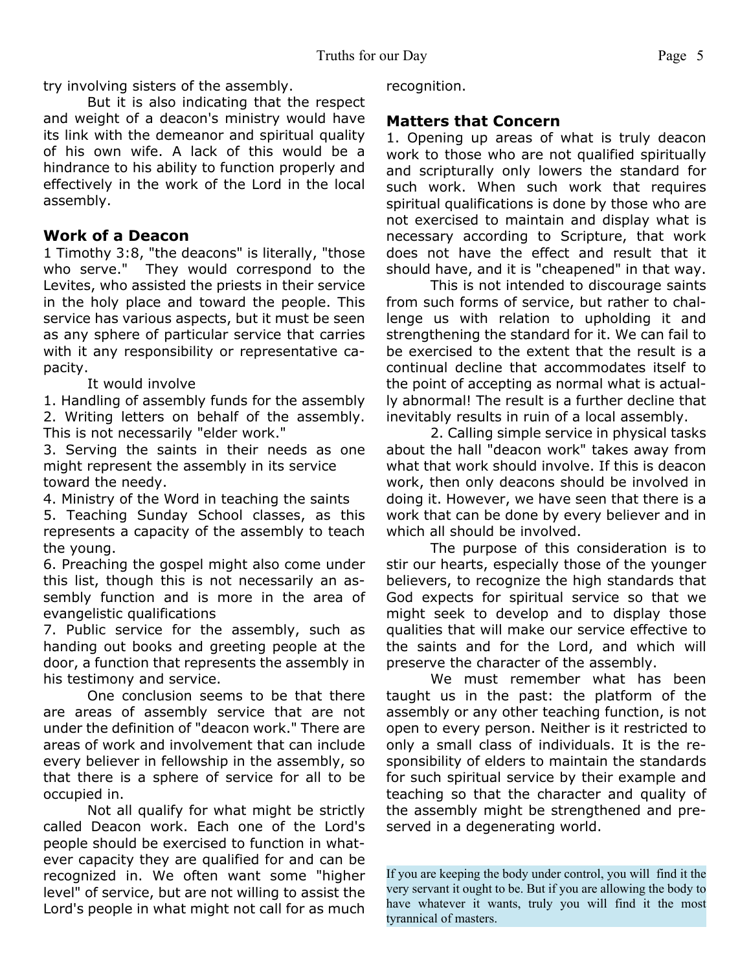try involving sisters of the assembly.

 But it is also indicating that the respect and weight of a deacon's ministry would have its link with the demeanor and spiritual quality of his own wife. A lack of this would be a hindrance to his ability to function properly and effectively in the work of the Lord in the local assembly.

#### **Work of a Deacon**

1 Timothy 3:8, "the deacons" is literally, "those who serve." They would correspond to the Levites, who assisted the priests in their service in the holy place and toward the people. This service has various aspects, but it must be seen as any sphere of particular service that carries with it any responsibility or representative capacity.

It would involve

1. Handling of assembly funds for the assembly 2. Writing letters on behalf of the assembly. This is not necessarily "elder work."

3. Serving the saints in their needs as one might represent the assembly in its service toward the needy.

4. Ministry of the Word in teaching the saints

5. Teaching Sunday School classes, as this represents a capacity of the assembly to teach the young.

6. Preaching the gospel might also come under this list, though this is not necessarily an assembly function and is more in the area of evangelistic qualifications

7. Public service for the assembly, such as handing out books and greeting people at the door, a function that represents the assembly in his testimony and service.

 One conclusion seems to be that there are areas of assembly service that are not under the definition of "deacon work." There are areas of work and involvement that can include every believer in fellowship in the assembly, so that there is a sphere of service for all to be occupied in.

 Not all qualify for what might be strictly called Deacon work. Each one of the Lord's people should be exercised to function in whatever capacity they are qualified for and can be recognized in. We often want some "higher level" of service, but are not willing to assist the Lord's people in what might not call for as much recognition.

### **Matters that Concern**

1. Opening up areas of what is truly deacon work to those who are not qualified spiritually and scripturally only lowers the standard for such work. When such work that requires spiritual qualifications is done by those who are not exercised to maintain and display what is necessary according to Scripture, that work does not have the effect and result that it should have, and it is "cheapened" in that way.

 This is not intended to discourage saints from such forms of service, but rather to challenge us with relation to upholding it and strengthening the standard for it. We can fail to be exercised to the extent that the result is a continual decline that accommodates itself to the point of accepting as normal what is actually abnormal! The result is a further decline that inevitably results in ruin of a local assembly.

 2. Calling simple service in physical tasks about the hall "deacon work" takes away from what that work should involve. If this is deacon work, then only deacons should be involved in doing it. However, we have seen that there is a work that can be done by every believer and in which all should be involved.

 The purpose of this consideration is to stir our hearts, especially those of the younger believers, to recognize the high standards that God expects for spiritual service so that we might seek to develop and to display those qualities that will make our service effective to the saints and for the Lord, and which will preserve the character of the assembly.

 We must remember what has been taught us in the past: the platform of the assembly or any other teaching function, is not open to every person. Neither is it restricted to only a small class of individuals. It is the responsibility of elders to maintain the standards for such spiritual service by their example and teaching so that the character and quality of the assembly might be strengthened and preserved in a degenerating world.

If you are keeping the body under control, you will find it the very servant it ought to be. But if you are allowing the body to have whatever it wants, truly you will find it the most tyrannical of masters.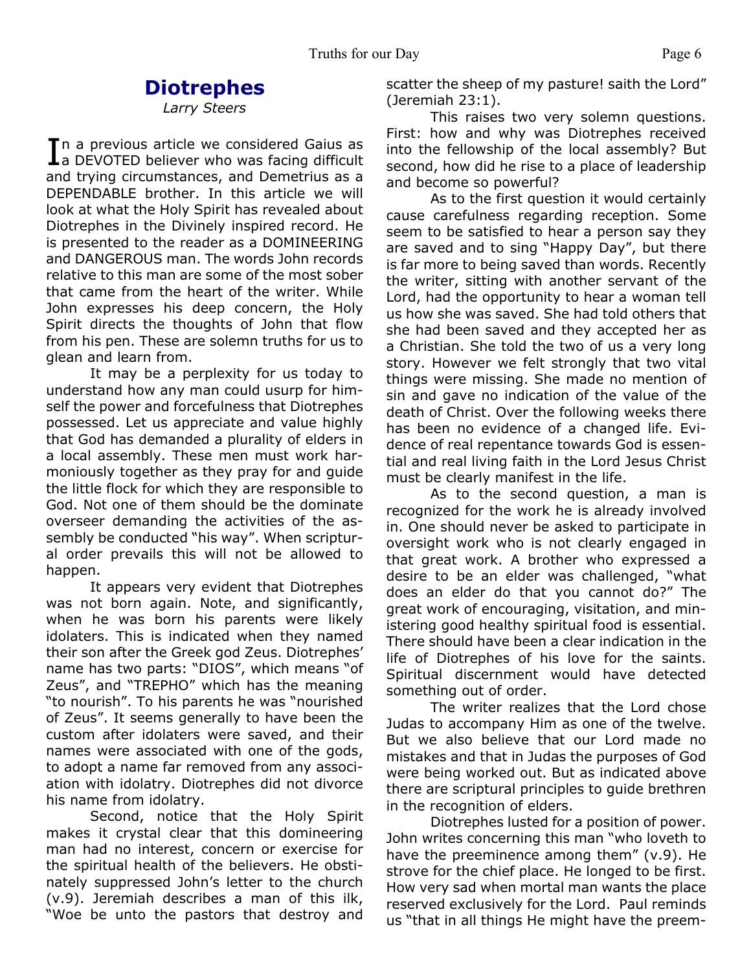# **Diotrephes**

*Larry Steers*

In a previous article we considered Gaius as<br> **I** a DEVOTED believer who was facing difficult  $\mathsf{T}$ n a previous article we considered Gaius as and trying circumstances, and Demetrius as a DEPENDABLE brother. In this article we will look at what the Holy Spirit has revealed about Diotrephes in the Divinely inspired record. He is presented to the reader as a DOMINEERING and DANGEROUS man. The words John records relative to this man are some of the most sober that came from the heart of the writer. While John expresses his deep concern, the Holy Spirit directs the thoughts of John that flow from his pen. These are solemn truths for us to glean and learn from.

 It may be a perplexity for us today to understand how any man could usurp for himself the power and forcefulness that Diotrephes possessed. Let us appreciate and value highly that God has demanded a plurality of elders in a local assembly. These men must work harmoniously together as they pray for and guide the little flock for which they are responsible to God. Not one of them should be the dominate overseer demanding the activities of the assembly be conducted "his way". When scriptural order prevails this will not be allowed to happen.

 It appears very evident that Diotrephes was not born again. Note, and significantly, when he was born his parents were likely idolaters. This is indicated when they named their son after the Greek god Zeus. Diotrephes' name has two parts: "DIOS", which means "of Zeus", and "TREPHO" which has the meaning "to nourish". To his parents he was "nourished of Zeus". It seems generally to have been the custom after idolaters were saved, and their names were associated with one of the gods, to adopt a name far removed from any association with idolatry. Diotrephes did not divorce his name from idolatry.

 Second, notice that the Holy Spirit makes it crystal clear that this domineering man had no interest, concern or exercise for the spiritual health of the believers. He obstinately suppressed John's letter to the church (v.9). Jeremiah describes a man of this ilk, "Woe be unto the pastors that destroy and

scatter the sheep of my pasture! saith the Lord" (Jeremiah 23:1).

 This raises two very solemn questions. First: how and why was Diotrephes received into the fellowship of the local assembly? But second, how did he rise to a place of leadership and become so powerful?

 As to the first question it would certainly cause carefulness regarding reception. Some seem to be satisfied to hear a person say they are saved and to sing "Happy Day", but there is far more to being saved than words. Recently the writer, sitting with another servant of the Lord, had the opportunity to hear a woman tell us how she was saved. She had told others that she had been saved and they accepted her as a Christian. She told the two of us a very long story. However we felt strongly that two vital things were missing. She made no mention of sin and gave no indication of the value of the death of Christ. Over the following weeks there has been no evidence of a changed life. Evidence of real repentance towards God is essential and real living faith in the Lord Jesus Christ must be clearly manifest in the life.

 As to the second question, a man is recognized for the work he is already involved in. One should never be asked to participate in oversight work who is not clearly engaged in that great work. A brother who expressed a desire to be an elder was challenged, "what does an elder do that you cannot do?" The great work of encouraging, visitation, and ministering good healthy spiritual food is essential. There should have been a clear indication in the life of Diotrephes of his love for the saints. Spiritual discernment would have detected something out of order.

 The writer realizes that the Lord chose Judas to accompany Him as one of the twelve. But we also believe that our Lord made no mistakes and that in Judas the purposes of God were being worked out. But as indicated above there are scriptural principles to guide brethren in the recognition of elders.

 Diotrephes lusted for a position of power. John writes concerning this man "who loveth to have the preeminence among them" (v.9). He strove for the chief place. He longed to be first. How very sad when mortal man wants the place reserved exclusively for the Lord. Paul reminds us "that in all things He might have the preem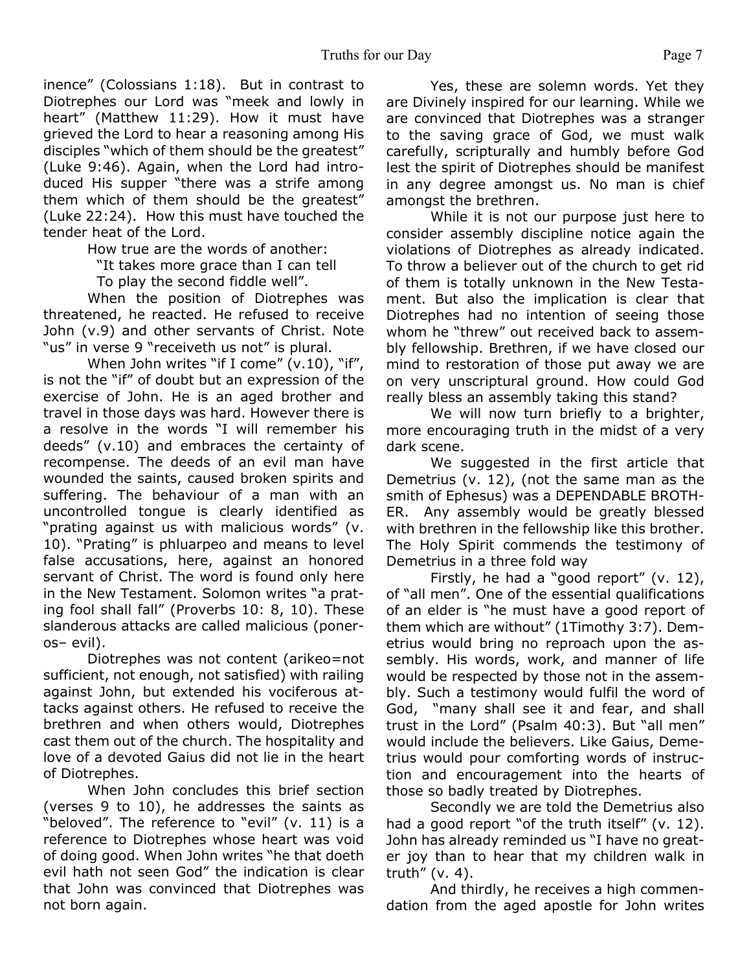inence" (Colossians 1:18). But in contrast to Diotrephes our Lord was "meek and lowly in heart" (Matthew 11:29). How it must have grieved the Lord to hear a reasoning among His disciples "which of them should be the greatest" (Luke 9:46). Again, when the Lord had introduced His supper "there was a strife among them which of them should be the greatest" (Luke 22:24). How this must have touched the tender heat of the Lord.

How true are the words of another:

"It takes more grace than I can tell

To play the second fiddle well".

 When the position of Diotrephes was threatened, he reacted. He refused to receive John (v.9) and other servants of Christ. Note "us" in verse 9 "receiveth us not" is plural.

When John writes "if I come" (v.10), "if", is not the "if" of doubt but an expression of the exercise of John. He is an aged brother and travel in those days was hard. However there is a resolve in the words "I will remember his deeds" (v.10) and embraces the certainty of recompense. The deeds of an evil man have wounded the saints, caused broken spirits and suffering. The behaviour of a man with an uncontrolled tongue is clearly identified as "prating against us with malicious words" (v. 10). "Prating" is phluarpeo and means to level false accusations, here, against an honored servant of Christ. The word is found only here in the New Testament. Solomon writes "a prating fool shall fall" (Proverbs 10: 8, 10). These slanderous attacks are called malicious (poneros– evil).

 Diotrephes was not content (arikeo=not sufficient, not enough, not satisfied) with railing against John, but extended his vociferous attacks against others. He refused to receive the brethren and when others would, Diotrephes cast them out of the church. The hospitality and love of a devoted Gaius did not lie in the heart of Diotrephes.

 When John concludes this brief section (verses 9 to 10), he addresses the saints as "beloved". The reference to "evil" (v. 11) is a reference to Diotrephes whose heart was void of doing good. When John writes "he that doeth evil hath not seen God" the indication is clear that John was convinced that Diotrephes was not born again.

 Yes, these are solemn words. Yet they are Divinely inspired for our learning. While we are convinced that Diotrephes was a stranger to the saving grace of God, we must walk carefully, scripturally and humbly before God lest the spirit of Diotrephes should be manifest in any degree amongst us. No man is chief amongst the brethren.

 While it is not our purpose just here to consider assembly discipline notice again the violations of Diotrephes as already indicated. To throw a believer out of the church to get rid of them is totally unknown in the New Testament. But also the implication is clear that Diotrephes had no intention of seeing those whom he "threw" out received back to assembly fellowship. Brethren, if we have closed our mind to restoration of those put away we are on very unscriptural ground. How could God really bless an assembly taking this stand?

 We will now turn briefly to a brighter, more encouraging truth in the midst of a very dark scene.

 We suggested in the first article that Demetrius (v. 12), (not the same man as the smith of Ephesus) was a DEPENDABLE BROTH-ER. Any assembly would be greatly blessed with brethren in the fellowship like this brother. The Holy Spirit commends the testimony of Demetrius in a three fold way

 Firstly, he had a "good report" (v. 12), of "all men". One of the essential qualifications of an elder is "he must have a good report of them which are without" (1Timothy 3:7). Demetrius would bring no reproach upon the assembly. His words, work, and manner of life would be respected by those not in the assembly. Such a testimony would fulfil the word of God, "many shall see it and fear, and shall trust in the Lord" (Psalm 40:3). But "all men" would include the believers. Like Gaius, Demetrius would pour comforting words of instruction and encouragement into the hearts of those so badly treated by Diotrephes.

 Secondly we are told the Demetrius also had a good report "of the truth itself" (v. 12). John has already reminded us "I have no greater joy than to hear that my children walk in truth" (v. 4).

 And thirdly, he receives a high commendation from the aged apostle for John writes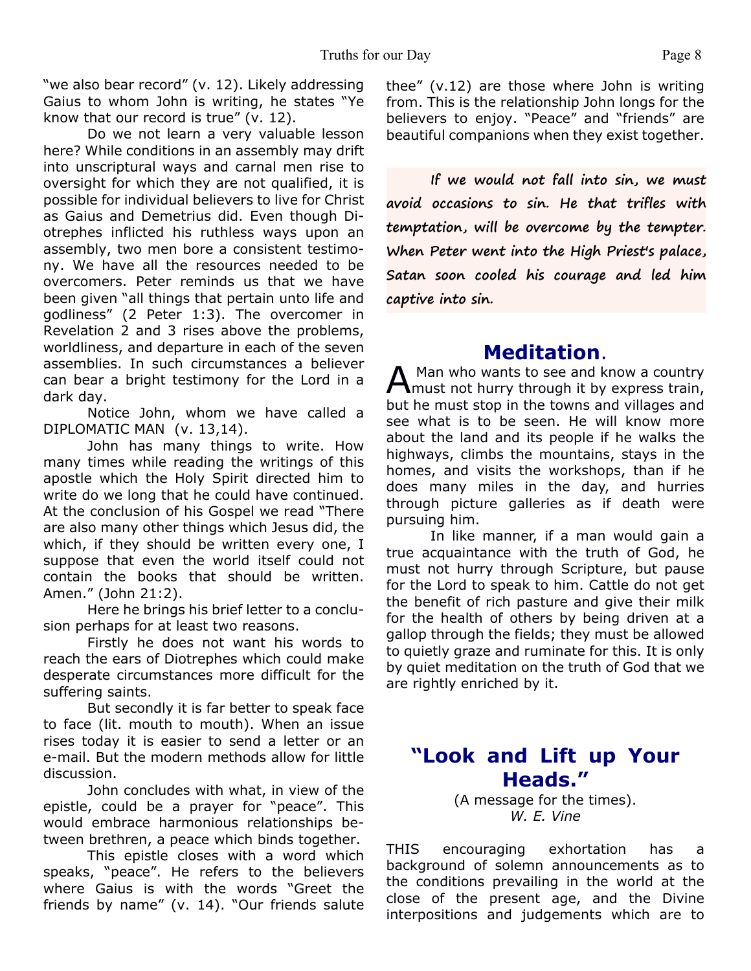"we also bear record" (v. 12). Likely addressing Gaius to whom John is writing, he states "Ye know that our record is true" (v. 12).

 Do we not learn a very valuable lesson here? While conditions in an assembly may drift into unscriptural ways and carnal men rise to oversight for which they are not qualified, it is possible for individual believers to live for Christ as Gaius and Demetrius did. Even though Diotrephes inflicted his ruthless ways upon an assembly, two men bore a consistent testimony. We have all the resources needed to be overcomers. Peter reminds us that we have been given "all things that pertain unto life and godliness" (2 Peter 1:3). The overcomer in Revelation 2 and 3 rises above the problems, worldliness, and departure in each of the seven assemblies. In such circumstances a believer can bear a bright testimony for the Lord in a dark day.

 Notice John, whom we have called a DIPLOMATIC MAN (v. 13,14).

 John has many things to write. How many times while reading the writings of this apostle which the Holy Spirit directed him to write do we long that he could have continued. At the conclusion of his Gospel we read "There are also many other things which Jesus did, the which, if they should be written every one, I suppose that even the world itself could not contain the books that should be written. Amen." (John 21:2).

Here he brings his brief letter to a conclusion perhaps for at least two reasons.

 Firstly he does not want his words to reach the ears of Diotrephes which could make desperate circumstances more difficult for the suffering saints.

 But secondly it is far better to speak face to face (lit. mouth to mouth). When an issue rises today it is easier to send a letter or an e-mail. But the modern methods allow for little discussion.

 John concludes with what, in view of the epistle, could be a prayer for "peace". This would embrace harmonious relationships between brethren, a peace which binds together.

 This epistle closes with a word which speaks, "peace". He refers to the believers where Gaius is with the words "Greet the friends by name" (v. 14). "Our friends salute thee" (v.12) are those where John is writing from. This is the relationship John longs for the believers to enjoy. "Peace" and "friends" are beautiful companions when they exist together.

**If we would not fall into sin, we must avoid occasions to sin. He that trifles with temptation, will be overcome by the tempter. When Peter went into the High Priest's palace, Satan soon cooled his courage and led him captive into sin.**

# **Meditation**.

A Man who wants to see and know a country<br>
must not hurry through it by express train, Man who wants to see and know a country but he must stop in the towns and villages and see what is to be seen. He will know more about the land and its people if he walks the highways, climbs the mountains, stays in the homes, and visits the workshops, than if he does many miles in the day, and hurries through picture galleries as if death were pursuing him.

In like manner, if a man would gain a true acquaintance with the truth of God, he must not hurry through Scripture, but pause for the Lord to speak to him. Cattle do not get the benefit of rich pasture and give their milk for the health of others by being driven at a gallop through the fields; they must be allowed to quietly graze and ruminate for this. It is only by quiet meditation on the truth of God that we are rightly enriched by it.

## **"Look and Lift up Your Heads."**

(A message for the times). *W. E. Vine*

THIS encouraging exhortation has a background of solemn announcements as to the conditions prevailing in the world at the close of the present age, and the Divine interpositions and judgements which are to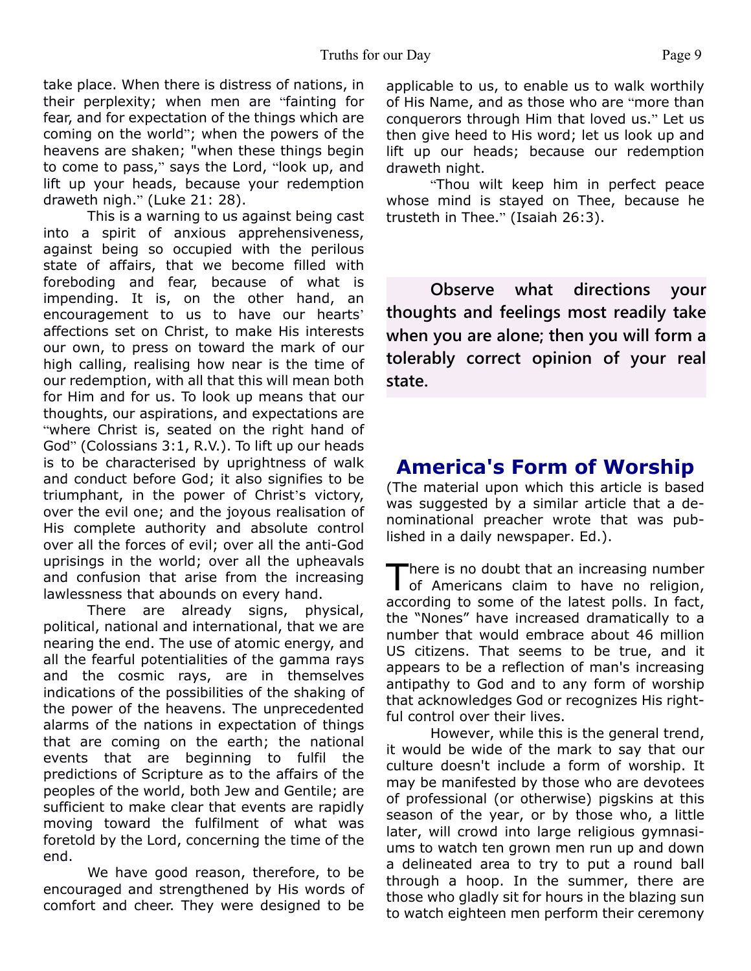take place. When there is distress of nations, in their perplexity; when men are "fainting for fear, and for expectation of the things which are coming on the world"; when the powers of the heavens are shaken; "when these things begin to come to pass," says the Lord, "look up, and lift up your heads, because your redemption draweth nigh." (Luke 21: 28).

 This is a warning to us against being cast into a spirit of anxious apprehensiveness, against being so occupied with the perilous state of affairs, that we become filled with foreboding and fear, because of what is impending. It is, on the other hand, an encouragement to us to have our hearts' affections set on Christ, to make His interests our own, to press on toward the mark of our high calling, realising how near is the time of our redemption, with all that this will mean both for Him and for us. To look up means that our thoughts, our aspirations, and expectations are "where Christ is, seated on the right hand of God" (Colossians 3:1, R.V.). To lift up our heads is to be characterised by uprightness of walk and conduct before God; it also signifies to be triumphant, in the power of Christ's victory, over the evil one; and the joyous realisation of His complete authority and absolute control over all the forces of evil; over all the anti-God uprisings in the world; over all the upheavals and confusion that arise from the increasing lawlessness that abounds on every hand.

 There are already signs, physical, political, national and international, that we are nearing the end. The use of atomic energy, and all the fearful potentialities of the gamma rays and the cosmic rays, are in themselves indications of the possibilities of the shaking of the power of the heavens. The unprecedented alarms of the nations in expectation of things that are coming on the earth; the national events that are beginning to fulfil the predictions of Scripture as to the affairs of the peoples of the world, both Jew and Gentile; are sufficient to make clear that events are rapidly moving toward the fulfilment of what was foretold by the Lord, concerning the time of the end.

 We have good reason, therefore, to be encouraged and strengthened by His words of comfort and cheer. They were designed to be

applicable to us, to enable us to walk worthily of His Name, and as those who are "more than conquerors through Him that loved us." Let us then give heed to His word; let us look up and lift up our heads; because our redemption draweth night.

"Thou wilt keep him in perfect peace whose mind is stayed on Thee, because he trusteth in Thee." (Isaiah 26:3).

**Observe what directions your thoughts and feelings most readily take when you are alone; then you will form a tolerably correct opinion of your real state.**

# **America's Form of Worship**

(The material upon which this article is based was suggested by a similar article that a denominational preacher wrote that was published in a daily newspaper. Ed.).

There is no doubt that an increasing number<br>of Americans claim to have no religion, here is no doubt that an increasing number according to some of the latest polls. In fact, the "Nones" have increased dramatically to a number that would embrace about 46 million US citizens. That seems to be true, and it appears to be a reflection of man's increasing antipathy to God and to any form of worship that acknowledges God or recognizes His rightful control over their lives.

 However, while this is the general trend, it would be wide of the mark to say that our culture doesn't include a form of worship. It may be manifested by those who are devotees of professional (or otherwise) pigskins at this season of the year, or by those who, a little later, will crowd into large religious gymnasiums to watch ten grown men run up and down a delineated area to try to put a round ball through a hoop. In the summer, there are those who gladly sit for hours in the blazing sun to watch eighteen men perform their ceremony